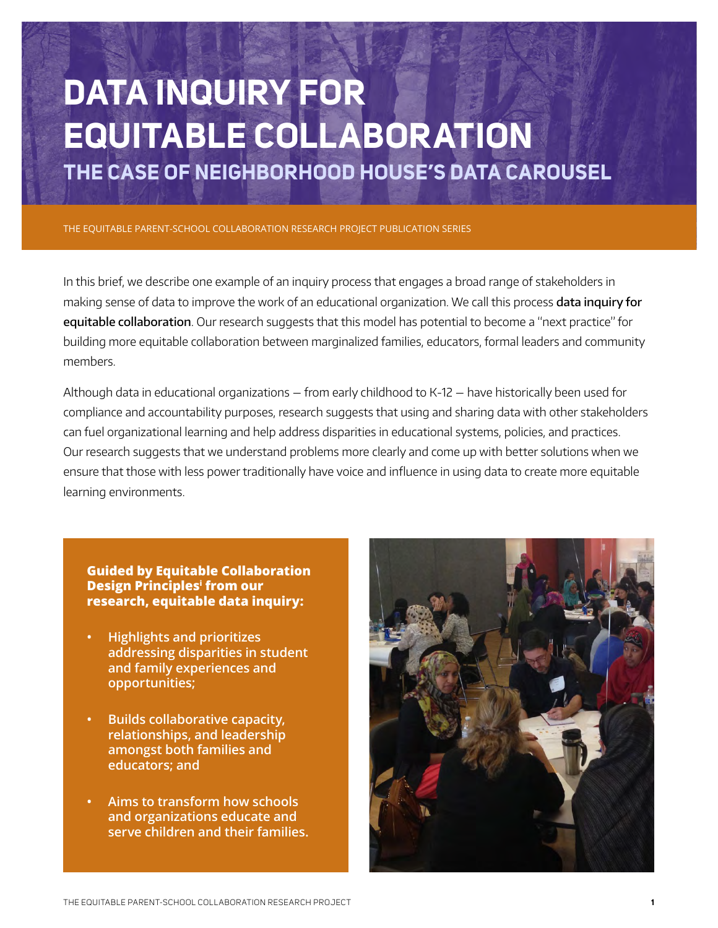# **Data Inquiry For Equitable Collaboration the case of Neighborhood House's Data Carousel**

The Equitable Parent-School Collaboration Research Project PUBLICATION SERIES

In this brief, we describe one example of an inquiry process that engages a broad range of stakeholders in making sense of data to improve the work of an educational organization. We call this process data inquiry for equitable collaboration. Our research suggests that this model has potential to become a "next practice" for building more equitable collaboration between marginalized families, educators, formal leaders and community members.

Although data in educational organizations — from early childhood to K-12 — have historically been used for compliance and accountability purposes, research suggests that using and sharing data with other stakeholders can fuel organizational learning and help address disparities in educational systems, policies, and practices. Our research suggests that we understand problems more clearly and come up with better solutions when we ensure that those with less power traditionally have voice and influence in using data to create more equitable learning environments.

**Guided by Equitable Collaboration Design Principlesi from our research, equitable data inquiry:**

- **• Highlights and prioritizes addressing disparities in student and family experiences and opportunities;**
- **• Builds collaborative capacity, relationships, and leadership amongst both families and educators; and**
- **• Aims to transform how schools and organizations educate and serve children and their families.**

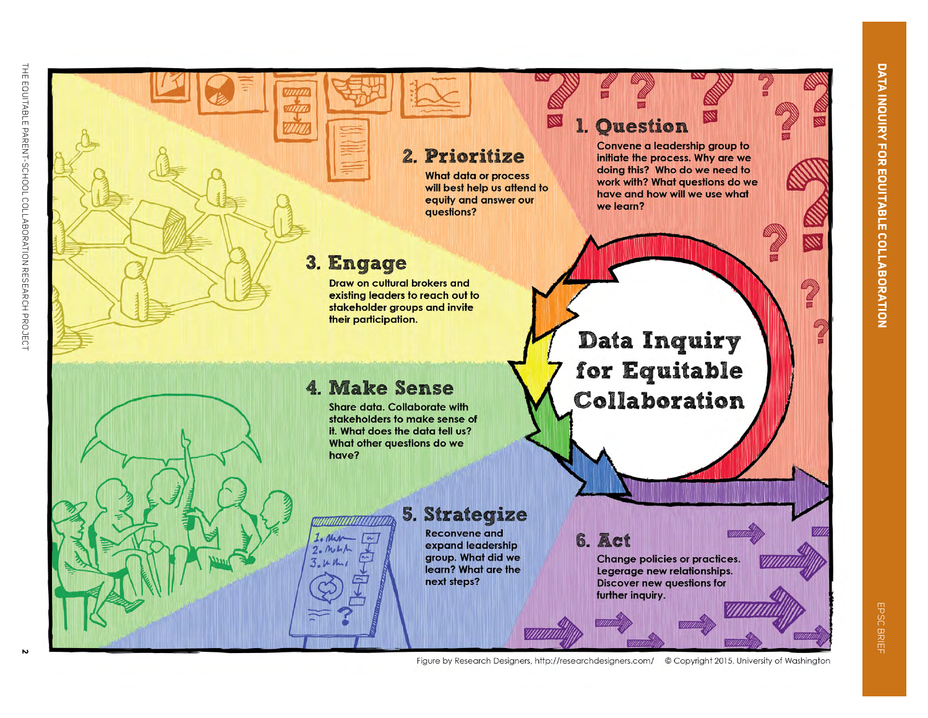EPSC

BRIEF



Figure by Research Designers, http://researchdesigners.com/ © Copyright 2015, University of Washington

 $\mathbf{v}$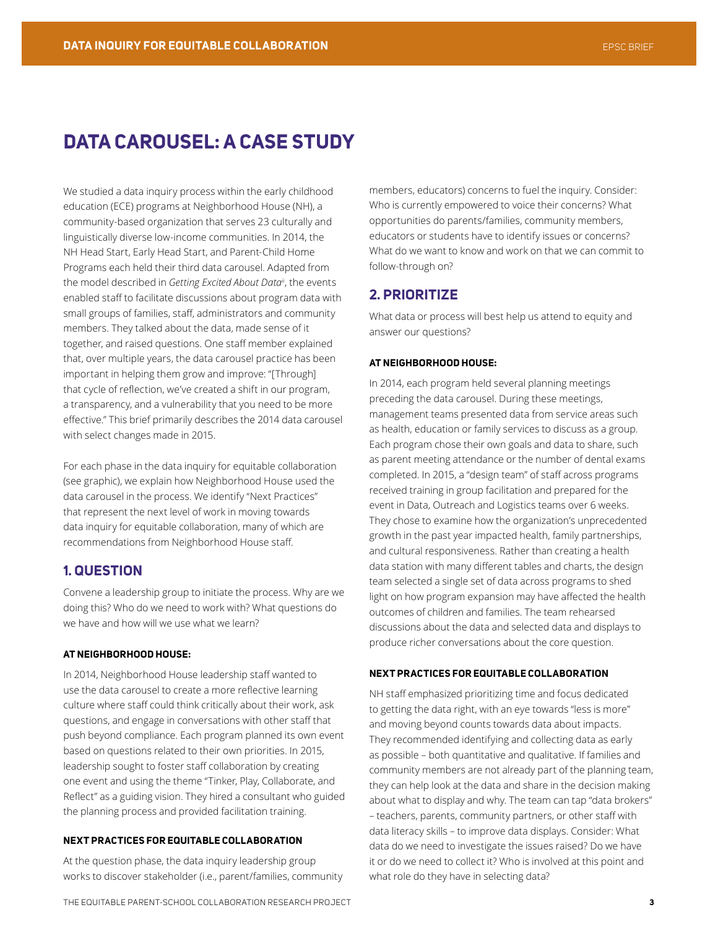## **Data Carousel: A Case Study**

We studied a data inquiry process within the early childhood education (ECE) programs at Neighborhood House (NH), a community-based organization that serves 23 culturally and linguistically diverse low-income communities. In 2014, the NH Head Start, Early Head Start, and Parent-Child Home Programs each held their third data carousel. Adapted from the model described in *Getting Excited About Data<sup>ii</sup>*, the events enabled staff to facilitate discussions about program data with small groups of families, staff, administrators and community members. They talked about the data, made sense of it together, and raised questions. One staff member explained that, over multiple years, the data carousel practice has been important in helping them grow and improve: "[Through] that cycle of reflection, we've created a shift in our program, a transparency, and a vulnerability that you need to be more effective." This brief primarily describes the 2014 data carousel with select changes made in 2015.

For each phase in the data inquiry for equitable collaboration (see graphic), we explain how Neighborhood House used the data carousel in the process. We identify "Next Practices" that represent the next level of work in moving towards data inquiry for equitable collaboration, many of which are recommendations from Neighborhood House staff.

## **1. QUESTION**

Convene a leadership group to initiate the process. Why are we doing this? Who do we need to work with? What questions do we have and how will we use what we learn?

#### **At Neighborhood House:**

In 2014, Neighborhood House leadership staff wanted to use the data carousel to create a more reflective learning culture where staff could think critically about their work, ask questions, and engage in conversations with other staff that push beyond compliance. Each program planned its own event based on questions related to their own priorities. In 2015, leadership sought to foster staff collaboration by creating one event and using the theme "Tinker, Play, Collaborate, and Reflect" as a guiding vision. They hired a consultant who guided the planning process and provided facilitation training.

#### **Ne xt Practice s for Equitable Collaboration**

At the question phase, the data inquiry leadership group works to discover stakeholder (i.e., parent/families, community members, educators) concerns to fuel the inquiry. Consider: Who is currently empowered to voice their concerns? What opportunities do parents/families, community members, educators or students have to identify issues or concerns? What do we want to know and work on that we can commit to follow-through on?

## **2. PRIORITIZE**

What data or process will best help us attend to equity and answer our questions?

#### **At Neighborhood House:**

In 2014, each program held several planning meetings preceding the data carousel. During these meetings, management teams presented data from service areas such as health, education or family services to discuss as a group. Each program chose their own goals and data to share, such as parent meeting attendance or the number of dental exams completed. In 2015, a "design team" of staff across programs received training in group facilitation and prepared for the event in Data, Outreach and Logistics teams over 6 weeks. They chose to examine how the organization's unprecedented growth in the past year impacted health, family partnerships, and cultural responsiveness. Rather than creating a health data station with many different tables and charts, the design team selected a single set of data across programs to shed light on how program expansion may have affected the health outcomes of children and families. The team rehearsed discussions about the data and selected data and displays to produce richer conversations about the core question.

#### **Ne xt Practice s for Equitable Collaboration**

NH staff emphasized prioritizing time and focus dedicated to getting the data right, with an eye towards "less is more" and moving beyond counts towards data about impacts. They recommended identifying and collecting data as early as possible – both quantitative and qualitative. If families and community members are not already part of the planning team, they can help look at the data and share in the decision making about what to display and why. The team can tap "data brokers" – teachers, parents, community partners, or other staff with data literacy skills – to improve data displays. Consider: What data do we need to investigate the issues raised? Do we have it or do we need to collect it? Who is involved at this point and what role do they have in selecting data?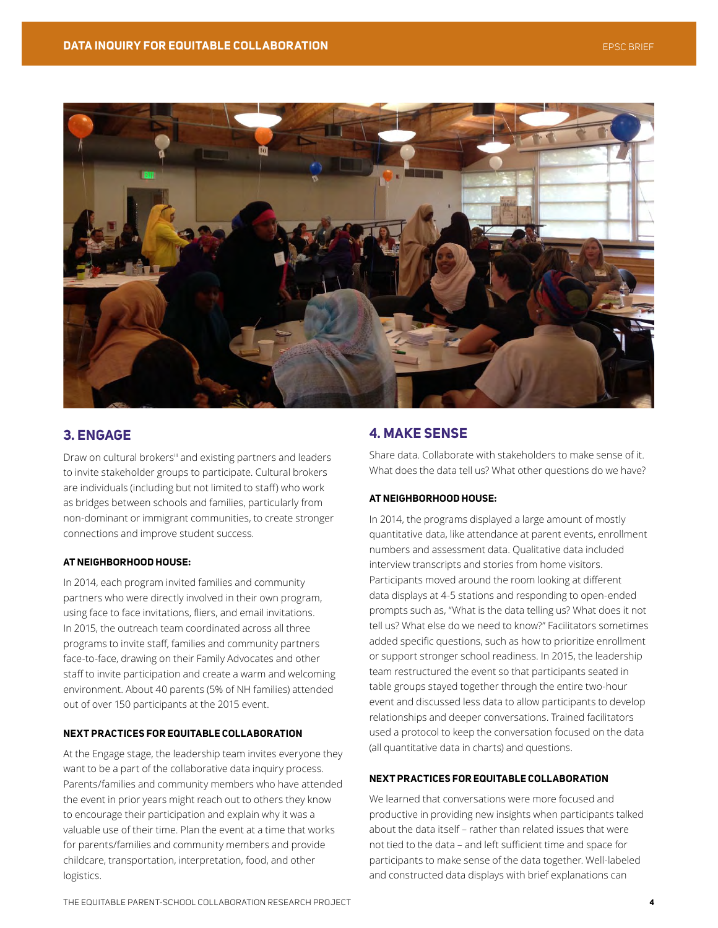

## **3. ENGAGE**

Draw on cultural brokers<sup>ii</sup> and existing partners and leaders to invite stakeholder groups to participate. Cultural brokers are individuals (including but not limited to staff) who work as bridges between schools and families, particularly from non-dominant or immigrant communities, to create stronger connections and improve student success.

#### **At Neighborhood House:**

In 2014, each program invited families and community partners who were directly involved in their own program, using face to face invitations, fliers, and email invitations. In 2015, the outreach team coordinated across all three programs to invite staff, families and community partners face-to-face, drawing on their Family Advocates and other staff to invite participation and create a warm and welcoming environment. About 40 parents (5% of NH families) attended out of over 150 participants at the 2015 event.

#### **Ne xt Practice s for Equitable Collaboration**

At the Engage stage, the leadership team invites everyone they want to be a part of the collaborative data inquiry process. Parents/families and community members who have attended the event in prior years might reach out to others they know to encourage their participation and explain why it was a valuable use of their time. Plan the event at a time that works for parents/families and community members and provide childcare, transportation, interpretation, food, and other logistics.

## **4. MAKE SENSE**

Share data. Collaborate with stakeholders to make sense of it. What does the data tell us? What other questions do we have?

#### **At Neighborhood House:**

In 2014, the programs displayed a large amount of mostly quantitative data, like attendance at parent events, enrollment numbers and assessment data. Qualitative data included interview transcripts and stories from home visitors. Participants moved around the room looking at different data displays at 4-5 stations and responding to open-ended prompts such as, "What is the data telling us? What does it not tell us? What else do we need to know?" Facilitators sometimes added specific questions, such as how to prioritize enrollment or support stronger school readiness. In 2015, the leadership team restructured the event so that participants seated in table groups stayed together through the entire two-hour event and discussed less data to allow participants to develop relationships and deeper conversations. Trained facilitators used a protocol to keep the conversation focused on the data (all quantitative data in charts) and questions.

#### **Ne xt Practice s for Equitable Collaboration**

We learned that conversations were more focused and productive in providing new insights when participants talked about the data itself – rather than related issues that were not tied to the data – and left sufficient time and space for participants to make sense of the data together. Well-labeled and constructed data displays with brief explanations can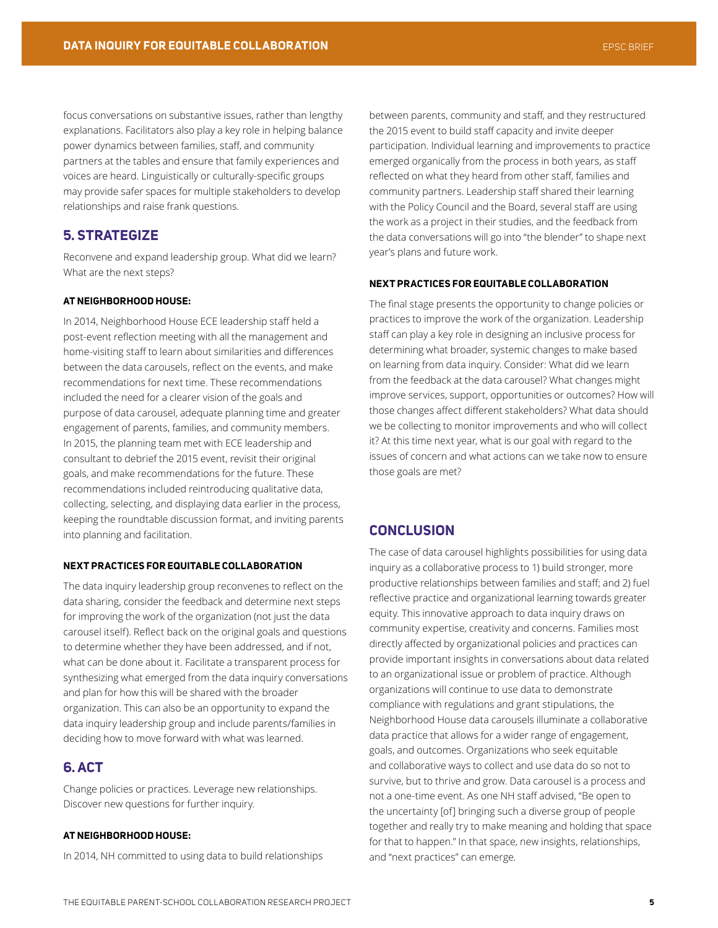focus conversations on substantive issues, rather than lengthy explanations. Facilitators also play a key role in helping balance power dynamics between families, staff, and community partners at the tables and ensure that family experiences and voices are heard. Linguistically or culturally-specific groups may provide safer spaces for multiple stakeholders to develop relationships and raise frank questions.

## **5. STRATEGIZE**

Reconvene and expand leadership group. What did we learn? What are the next steps?

#### **At Neighborhood House:**

In 2014, Neighborhood House ECE leadership staff held a post-event reflection meeting with all the management and home-visiting staff to learn about similarities and differences between the data carousels, reflect on the events, and make recommendations for next time. These recommendations included the need for a clearer vision of the goals and purpose of data carousel, adequate planning time and greater engagement of parents, families, and community members. In 2015, the planning team met with ECE leadership and consultant to debrief the 2015 event, revisit their original goals, and make recommendations for the future. These recommendations included reintroducing qualitative data, collecting, selecting, and displaying data earlier in the process, keeping the roundtable discussion format, and inviting parents into planning and facilitation.

#### **Ne xt Practice s for Equitable Collaboration**

The data inquiry leadership group reconvenes to reflect on the data sharing, consider the feedback and determine next steps for improving the work of the organization (not just the data carousel itself). Reflect back on the original goals and questions to determine whether they have been addressed, and if not, what can be done about it. Facilitate a transparent process for synthesizing what emerged from the data inquiry conversations and plan for how this will be shared with the broader organization. This can also be an opportunity to expand the data inquiry leadership group and include parents/families in deciding how to move forward with what was learned.

## **6. ACT**

Change policies or practices. Leverage new relationships. Discover new questions for further inquiry.

#### **At Neighborhood House:**

In 2014, NH committed to using data to build relationships

between parents, community and staff, and they restructured the 2015 event to build staff capacity and invite deeper participation. Individual learning and improvements to practice emerged organically from the process in both years, as staff reflected on what they heard from other staff, families and community partners. Leadership staff shared their learning with the Policy Council and the Board, several staff are using the work as a project in their studies, and the feedback from the data conversations will go into "the blender" to shape next year's plans and future work.

#### **Ne xt Practice s for Equitable Collaboration**

The final stage presents the opportunity to change policies or practices to improve the work of the organization. Leadership staff can play a key role in designing an inclusive process for determining what broader, systemic changes to make based on learning from data inquiry. Consider: What did we learn from the feedback at the data carousel? What changes might improve services, support, opportunities or outcomes? How will those changes affect different stakeholders? What data should we be collecting to monitor improvements and who will collect it? At this time next year, what is our goal with regard to the issues of concern and what actions can we take now to ensure those goals are met?

## **Conclusion**

The case of data carousel highlights possibilities for using data inquiry as a collaborative process to 1) build stronger, more productive relationships between families and staff; and 2) fuel reflective practice and organizational learning towards greater equity. This innovative approach to data inquiry draws on community expertise, creativity and concerns. Families most directly affected by organizational policies and practices can provide important insights in conversations about data related to an organizational issue or problem of practice. Although organizations will continue to use data to demonstrate compliance with regulations and grant stipulations, the Neighborhood House data carousels illuminate a collaborative data practice that allows for a wider range of engagement, goals, and outcomes. Organizations who seek equitable and collaborative ways to collect and use data do so not to survive, but to thrive and grow. Data carousel is a process and not a one-time event. As one NH staff advised, "Be open to the uncertainty [of] bringing such a diverse group of people together and really try to make meaning and holding that space for that to happen." In that space, new insights, relationships, and "next practices" can emerge.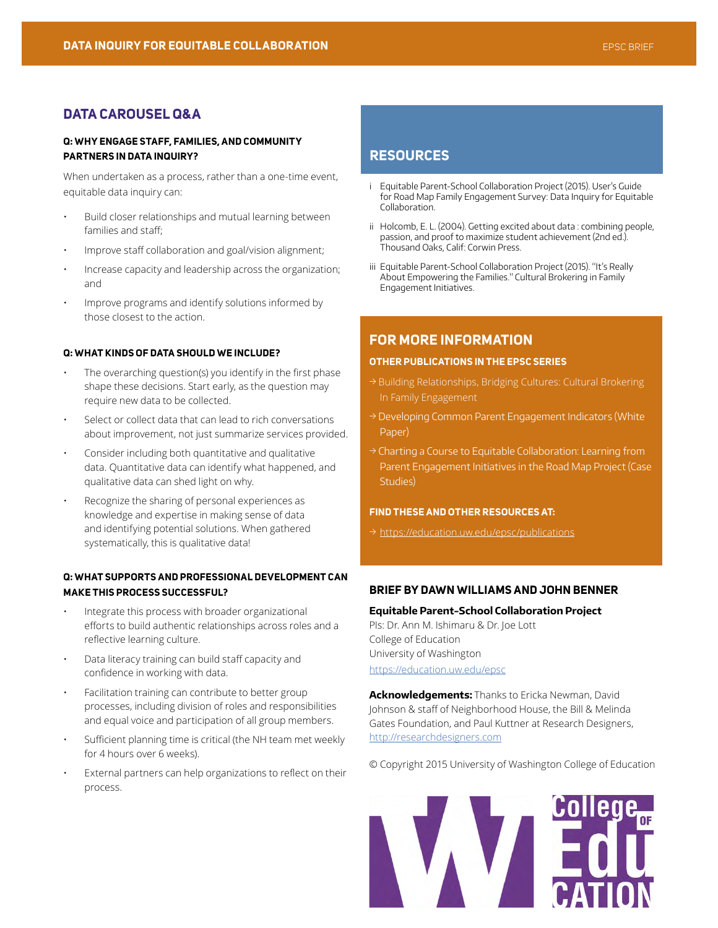## **DATA CAROUSEL Q&A**

#### **Q: Why engage staff , families, and community partners in data inquiry?**

When undertaken as a process, rather than a one-time event, equitable data inquiry can:

- Build closer relationships and mutual learning between families and staff;
- Improve staff collaboration and goal/vision alignment;
- Increase capacity and leadership across the organization; and
- Improve programs and identify solutions informed by those closest to the action.

#### **Q: What kinds of data should we include ?**

- The overarching question(s) you identify in the first phase shape these decisions. Start early, as the question may require new data to be collected.
- Select or collect data that can lead to rich conversations about improvement, not just summarize services provided.
- Consider including both quantitative and qualitative data. Quantitative data can identify what happened, and qualitative data can shed light on why.
- Recognize the sharing of personal experiences as knowledge and expertise in making sense of data and identifying potential solutions. When gathered systematically, this is qualitative data!

#### **Q: WHAT SUPPORTS AND PROFESSIONAL DEVELOPMENT CAN make this proce ss succe ssful?**

- Integrate this process with broader organizational efforts to build authentic relationships across roles and a reflective learning culture.
- Data literacy training can build staff capacity and confidence in working with data.
- Facilitation training can contribute to better group processes, including division of roles and responsibilities and equal voice and participation of all group members.
- Sufficient planning time is critical (the NH team met weekly for 4 hours over 6 weeks).
- External partners can help organizations to reflect on their process.

## **RESOURCES**

- i Equitable Parent-School Collaboration Project (2015). User's Guide for Road Map Family Engagement Survey: Data Inquiry for Equitable Collaboration.
- ii Holcomb, E. L. (2004). Getting excited about data : combining people, passion, and proof to maximize student achievement (2nd ed.). Thousand Oaks, Calif: Corwin Press.
- iii Equitable Parent-School Collaboration Project (2015). "It's Really About Empowering the Families." Cultural Brokering in Family Engagement Initiatives.

## **For More Information**

#### **OTHER PUBLICATIONS IN THE EPSC SERIES**

- → Building Relationships, Bridging Cultures: Cultural Brokering In Family Engagement
- → Developing Common Parent Engagement Indicators (White Paper)
- → Charting a Course to Equitable Collaboration: Learning from Parent Engagement Initiatives in the Road Map Project (Case Studies)

#### **FIND THESE AND OTHER RESOURCES AT:**

→ <https://education.uw.edu/epsc/publications>

## **Brief by Dawn Williams and John Benner**

**Equitable Parent-School Collaboration Project**

PIs: Dr. Ann M. Ishimaru & Dr. Joe Lott College of Education University of Washington <https://education.uw.edu/epsc>

**Acknowledgements:** Thanks to Ericka Newman, David Johnson & staff of Neighborhood House, the Bill & Melinda Gates Foundation, and Paul Kuttner at Research Designers, <http://researchdesigners.com>

© Copyright 2015 University of Washington College of Education